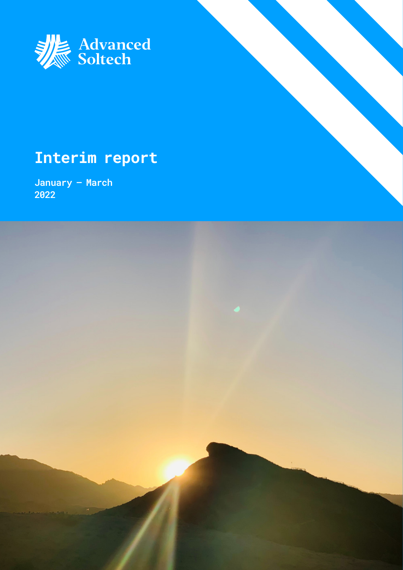

### **Interim report**

**January – March 2022**

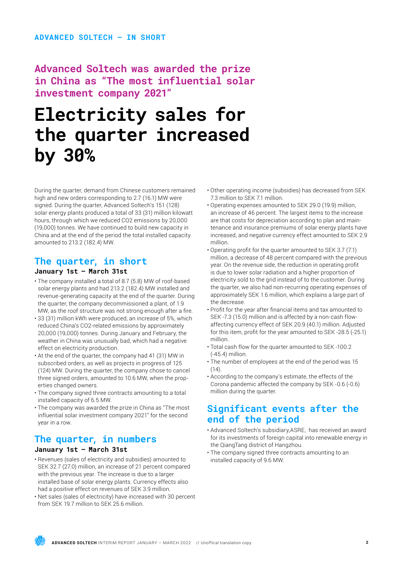**Advanced Soltech was awarded the prize in China as "The most influential solar investment company 2021"**

### **Electricity sales for the quarter increased by 30%**

During the quarter, demand from Chinese customers remained high and new orders corresponding to 2.7 (16.1) MW were signed. During the quarter, Advanced Soltech's 151 (128) solar energy plants produced a total of 33 (31) million kilowatt hours, through which we reduced CO2 emissions by 20,000 (19,000) tonnes. We have continued to build new capacity in China and at the end of the period the total installed capacity amounted to 213.2 (182.4) MW.

### **The quarter, in short**

### **January 1st – March 31st**

- The company installed a total of 8.7 (5.8) MW of roof-based solar energy plants and had 213.2 (182.4) MW installed and revenue-generating capacity at the end of the quarter. During the quarter, the company decommissioned a plant, of 1.9 MW, as the roof structure was not strong enough after a fire.
- 33 (31) million kWh were produced, an increase of 5%, which reduced China's CO2-related emissions by approximately 20,000 (19,000) tonnes. During January and February, the weather in China was unusually bad, which had a negative effect on electricity production.
- At the end of the quarter, the company had 41 (31) MW in subscribed orders, as well as projects in progress of 125 (124) MW. During the quarter, the company chose to cancel three signed orders, amounted to 10.6 MW, when the properties changed owners.
- The company signed three contracts amounting to a total installed capacity of 6.5 MW.
- The company was awarded the prize in China as "The most influential solar investment company 2021" for the second year in a row.

### **The quarter, in numbers January 1st – March 31st**

- Revenues (sales of electricity and subsidies) amounted to SEK 32.7 (27.0) million, an increase of 21 percent compared with the previous year. The increase is due to a larger installed base of solar energy plants. Currency effects also had a positive effect on revenues of SEK 3.9 million.
- Net sales (sales of electricity) have increased with 30 percent from SEK 19.7 million to SEK 25.6 million.
- Other operating income (subsidies) has decreased from SEK 7.3 million to SEK 7.1 million.
- Operating expenses amounted to SEK 29.0 (19.9) million, an increase of 46 percent. The largest items to the increase are that costs for depreciation according to plan and maintenance and insurance premiums of solar energy plants have increased, and negative currency effect amounted to SEK 2.9 million.
- Operating profit for the quarter amounted to SEK 3.7 (7.1) million, a decrease of 48 percent compared with the previous year. On the revenue side, the reduction in operating profit is due to lower solar radiation and a higher proportion of electricity sold to the grid instead of to the customer. During the quarter, we also had non-recurring operating expenses of approximately SEK 1.6 million, which explains a large part of the decrease.
- Profit for the year after financial items and tax amounted to SEK -7.3 (15.0) million and is affected by a non-cash flowaffecting currency effect of SEK 20.9 (40.1) million. Adjusted for this item, profit for the year amounted to SEK -28.5 (-25.1) million.
- Total cash flow for the quarter amounted to SEK -100.2 (-45.4) million.
- The number of employees at the end of the period was 15  $(14)$ .
- According to the company's estimate, the effects of the Corona pandemic affected the company by SEK -0.6 (-0.6) million during the quarter.

### **Significant events after the end of the period**

- Advanced Soltech's subsidiary,ASRE, has received an award for its investments of foreign capital into renewable energy in the QiangTang district of Hangzhou.
- The company signed three contracts amounting to an installed capacity of 9.6 MW.

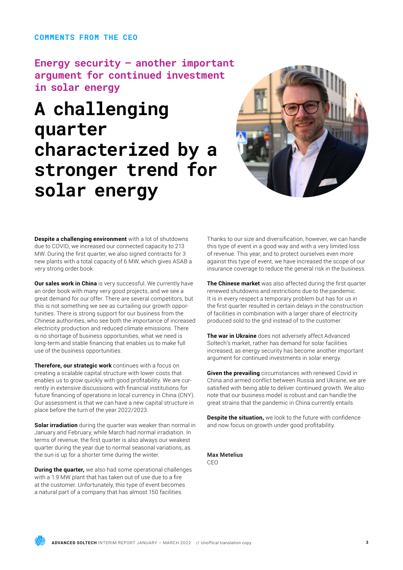### **COMMENTS FROM THE CEO**

**Energy security – another important argument for continued investment in solar energy**

### **A challenging quarter characterized by a stronger trend for solar energy**



**Despite a challenging environment** with a lot of shutdowns due to COVID, we increased our connected capacity to 213 MW. During the first quarter, we also signed contracts for 3 new plants with a total capacity of 6 MW, which gives ASAB a very strong order book.

**Our sales work in China** is very successful. We currently have an order book with many very good projects, and we see a great demand for our offer. There are several competitors, but this is not something we see as curtailing our growth opportunities. There is strong support for our business from the Chinese authorities, who see both the importance of increased electricity production and reduced climate emissions. There is no shortage of business opportunities, what we need is long-term and stable financing that enables us to make full use of the business opportunities.

**Therefore, our strategic work** continues with a focus on creating a scalable capital structure with lower costs that enables us to grow quickly with good profitability. We are currently in extensive discussions with financial institutions for future financing of operations in local currency in China (CNY). Our assessment is that we can have a new capital structure in place before the turn of the year 2022/2023.

**Solar irradiation** during the quarter was weaker than normal in January and February, while March had normal irradiation. In terms of revenue, the first quarter is also always our weakest quarter during the year due to normal seasonal variations, as the sun is up for a shorter time during the winter.

**During the quarter,** we also had some operational challenges with a 1.9 MW plant that has taken out of use due to a fire at the customer. Unfortunately, this type of event becomes a natural part of a company that has almost 150 facilities.

Thanks to our size and diversification, however, we can handle this type of event in a good way and with a very limited loss of revenue. This year, and to protect ourselves even more against this type of event, we have increased the scope of our insurance coverage to reduce the general risk in the business.

**The Chinese market** was also affected during the first quarter renewed shutdowns and restrictions due to the pandemic. It is in every respect a temporary problem but has for us in the first quarter resulted in certain delays in the construction of facilities in combination with a larger share of electricity produced sold to the grid instead of to the customer.

**The war in Ukraine** does not adversely affect Advanced Soltech's market, rather has demand for solar facilities increased, as energy security has become another important argument for continued investments in solar energy.

**Given the prevailing** circumstances with renewed Covid in China and armed conflict between Russia and Ukraine, we are satisfied with being able to deliver continued growth. We also note that our business model is robust and can handle the great strains that the pandemic in China currently entails.

**Despite the situation,** we look to the future with confidence and now focus on growth under good profitability.

Max Metelius CEO

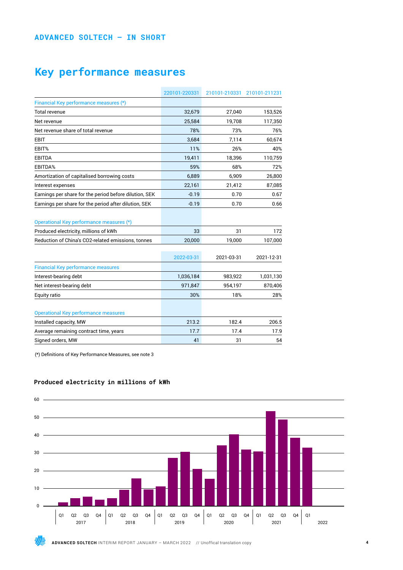### **Key performance measures**

|                                                        | 220101-220331 | 210101-210331 | 210101-211231 |
|--------------------------------------------------------|---------------|---------------|---------------|
| Financial Key performance measures (*)                 |               |               |               |
| <b>Total revenue</b>                                   | 32,679        | 27,040        | 153,526       |
| Net revenue                                            | 25,584        | 19,708        | 117,350       |
| Net revenue share of total revenue                     | 78%           | 73%           | 76%           |
| <b>EBIT</b>                                            | 3,684         | 7,114         | 60,674        |
| EBIT%                                                  | 11%           | 26%           | 40%           |
| <b>EBITDA</b>                                          | 19,411        | 18,396        | 110,759       |
| EBITDA%                                                | 59%           | 68%           | 72%           |
| Amortization of capitalised borrowing costs            | 6,889         | 6,909         | 26,800        |
| Interest expenses                                      | 22,161        | 21,412        | 87,085        |
| Earnings per share for the period before dilution, SEK | $-0.19$       | 0.70          | 0.67          |
| Earnings per share for the period after dilution, SEK  | $-0.19$       | 0.70          | 0.66          |
| Operational Key performance measures (*)               |               |               |               |
| Produced electricity, millions of kWh                  | 33            | 31            | 172           |
| Reduction of China's CO2-related emissions, tonnes     | 20,000        | 19,000        | 107,000       |
|                                                        | 2022-03-31    | 2021-03-31    | 2021-12-31    |
| <b>Financial Key performance measures</b>              |               |               |               |
| Interest-bearing debt                                  | 1,036,184     | 983,922       | 1,031,130     |
| Net interest-bearing debt                              | 971,847       | 954,197       | 870,406       |
| Equity ratio                                           | 30%           | 18%           | 28%           |
| <b>Operational Key performance measures</b>            |               |               |               |
| Installed capacity, MW                                 | 213.2         | 182.4         | 206.5         |
| Average remaining contract time, years                 | 17.7          | 17.4          | 17.9          |
| Signed orders, MW                                      | 41            | 31            | 54            |

(\*) Definitions of Key Performance Measures, see note 3

### **Produced electricity in millions of kWh**



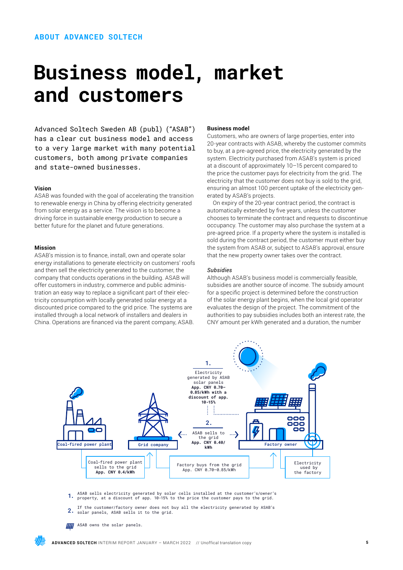### **Business model, market and customers**

Advanced Soltech Sweden AB (publ) ("ASAB") has a clear cut business model and access to a very large market with many potential customers, both among private companies and state-owned businesses.

### **Vision**

ASAB was founded with the goal of accelerating the transition to renewable energy in China by offering electricity generated from solar energy as a service. The vision is to become a driving force in sustainable energy production to secure a better future for the planet and future generations.

### **Mission**

ASAB's mission is to finance, install, own and operate solar energy installations to generate electricity on customers' roofs and then sell the electricity generated to the customer, the company that conducts operations in the building. ASAB will offer customers in industry, commerce and public administration an easy way to replace a significant part of their electricity consumption with locally generated solar energy at a discounted price compared to the grid price. The systems are installed through a local network of installers and dealers in China. Operations are financed via the parent company, ASAB.

### **Business model**

Customers, who are owners of large properties, enter into 20-year contracts with ASAB, whereby the customer commits to buy, at a pre-agreed price, the electricity generated by the system. Electricity purchased from ASAB's system is priced at a discount of approximately 10–15 percent compared to the price the customer pays for electricity from the grid. The electricity that the customer does not buy is sold to the grid, ensuring an almost 100 percent uptake of the electricity generated by ASAB's projects.

On expiry of the 20-year contract period, the contract is automatically extended by five years, unless the customer chooses to terminate the contract and requests to discontinue occupancy. The customer may also purchase the system at a pre-agreed price. If a property where the system is installed is sold during the contract period, the customer must either buy the system from ASAB or, subject to ASAB's approval, ensure that the new property owner takes over the contract.

### *Subsidies*

Although ASAB's business model is commercially feasible, subsidies are another source of income. The subsidy amount for a specific project is determined before the construction of the solar energy plant begins, when the local grid operator evaluates the design of the project. The commitment of the authorities to pay subsidies includes both an interest rate, the CNY amount per kWh generated and a duration, the number



- 1. ASAB sells electricity generated by solar cells installed at the customer's/owner's property, at a discount of app. 10-15% to the price the customer pays to the grid.
- $2<sup>2</sup>$ If the customer/factory owner does not buy all the electricity generated by ASAB's solar panels, ASAB sells it to the grid.
- **HH** ASAB owns the solar panels.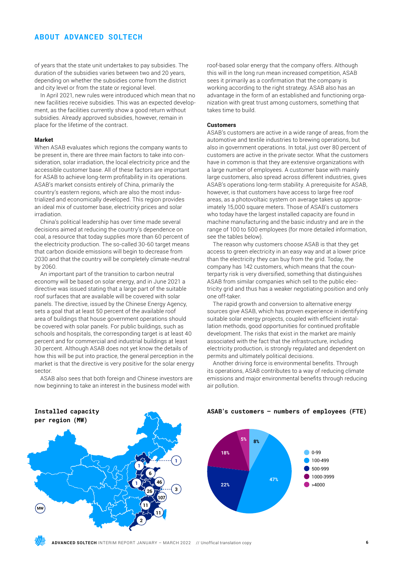### **ABOUT ADVANCED SOLTECH**

of years that the state unit undertakes to pay subsidies. The duration of the subsidies varies between two and 20 years, depending on whether the subsidies come from the district and city level or from the state or regional level.

In April 2021, new rules were introduced which mean that no new facilities receive subsidies. This was an expected development, as the facilities currently show a good return without subsidies. Already approved subsidies, however, remain in place for the lifetime of the contract.

#### **Market**

When ASAB evaluates which regions the company wants to be present in, there are three main factors to take into consideration, solar irradiation, the local electricity price and the accessible customer base. All of these factors are important for ASAB to achieve long-term profitability in its operations. ASAB's market consists entirely of China, primarily the country's eastern regions, which are also the most industrialized and economically developed. This region provides an ideal mix of customer base, electricity prices and solar irradiation.

China's political leadership has over time made several decisions aimed at reducing the country's dependence on coal, a resource that today supplies more than 60 percent of the electricity production. The so-called 30-60 target means that carbon dioxide emissions will begin to decrease from 2030 and that the country will be completely climate-neutral by 2060.

An important part of the transition to carbon neutral economy will be based on solar energy, and in June 2021 a directive was issued stating that a large part of the suitable roof surfaces that are available will be covered with solar panels. The directive, issued by the Chinese Energy Agency, sets a goal that at least 50 percent of the available roof area of buildings that house government operations should be covered with solar panels. For public buildings, such as schools and hospitals, the corresponding target is at least 40 percent and for commercial and industrial buildings at least 30 percent. Although ASAB does not yet know the details of how this will be put into practice, the general perception in the market is that the directive is very positive for the solar energy sector.

ASAB also sees that both foreign and Chinese investors are now beginning to take an interest in the business model with

roof-based solar energy that the company offers. Although this will in the long run mean increased competition, ASAB sees it primarily as a confirmation that the company is working according to the right strategy. ASAB also has an advantage in the form of an established and functioning organization with great trust among customers, something that takes time to build.

### **Customers**

ASAB's customers are active in a wide range of areas, from the automotive and textile industries to brewing operations, but also in government operations. In total, just over 80 percent of customers are active in the private sector. What the customers have in common is that they are extensive organizations with a large number of employees. A customer base with mainly large customers, also spread across different industries, gives ASAB's operations long-term stability. A prerequisite for ASAB, however, is that customers have access to large free roof areas, as a photovoltaic system on average takes up approximately 15,000 square meters. Those of ASAB's customers who today have the largest installed capacity are found in machine manufacturing and the basic industry and are in the range of 100 to 500 employees (for more detailed information, see the tables below).

The reason why customers choose ASAB is that they get access to green electricity in an easy way and at a lower price than the electricity they can buy from the grid. Today, the company has 142 customers, which means that the counterparty risk is very diversified, something that distinguishes ASAB from similar companies which sell to the public electricity grid and thus has a weaker negotiating position and only one off-taker.

The rapid growth and conversion to alternative energy sources give ASAB, which has proven experience in identifying suitable solar energy projects, coupled with efficient installation methods, good opportunities for continued profitable development. The risks that exist in the market are mainly associated with the fact that the infrastructure, including electricity production, is strongly regulated and dependent on permits and ultimately political decisions.

Another driving force is environmental benefits. Through its operations, ASAB contributes to a way of reducing climate emissions and major environmental benefits through reducing air pollution.

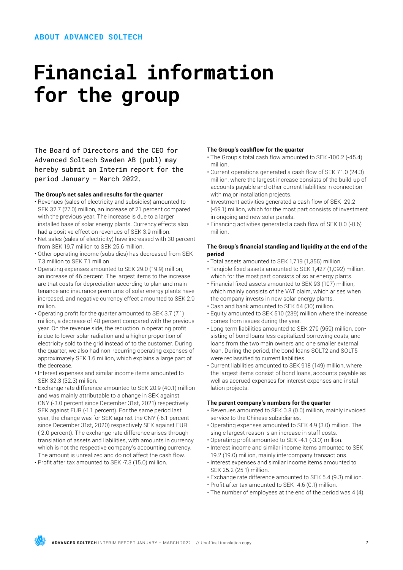### **Financial information for the group**

The Board of Directors and the CEO for Advanced Soltech Sweden AB (publ) may hereby submit an Interim report for the period January – March 2022.

### **The Group's net sales and results for the quarter**

- Revenues (sales of electricity and subsidies) amounted to SEK 32.7 (27.0) million, an increase of 21 percent compared with the previous year. The increase is due to a larger installed base of solar energy plants. Currency effects also had a positive effect on revenues of SEK 3.9 million.
- Net sales (sales of electricity) have increased with 30 percent from SEK 19.7 million to SEK 25.6 million.
- Other operating income (subsidies) has decreased from SEK 7.3 million to SEK 7.1 million.
- Operating expenses amounted to SEK 29.0 (19.9) million, an increase of 46 percent. The largest items to the increase are that costs for depreciation according to plan and maintenance and insurance premiums of solar energy plants have increased, and negative currency effect amounted to SEK 2.9 million.
- Operating profit for the quarter amounted to SEK 3.7 (7.1) million, a decrease of 48 percent compared with the previous year. On the revenue side, the reduction in operating profit is due to lower solar radiation and a higher proportion of electricity sold to the grid instead of to the customer. During the quarter, we also had non-recurring operating expenses of approximately SEK 1.6 million, which explains a large part of the decrease.
- Interest expenses and similar income items amounted to SEK 32.3 (32.3) million.
- Exchange rate difference amounted to SEK 20.9 (40.1) million and was mainly attributable to a change in SEK against CNY (-3.0 percent since December 31st, 2021) respectively SEK against EUR (-1.1 percent). For the same period last year, the change was for SEK against the CNY (-6.1 percent since December 31st, 2020) respectively SEK against EUR (-2.0 percent). The exchange rate difference arises through translation of assets and liabilities, with amounts in currency which is not the respective company's accounting currency. The amount is unrealized and do not affect the cash flow.
- Profit after tax amounted to SEK -7.3 (15.0) million.

#### **The Group's cashflow for the quarter**

- The Group's total cash flow amounted to SEK -100.2 (-45.4) million.
- Current operations generated a cash flow of SEK 71.0 (24.3) million, where the largest increase consists of the build-up of accounts payable and other current liabilities in connection with major installation projects.
- Investment activities generated a cash flow of SEK -29.2 (-69.1) million, which for the most part consists of investment in ongoing and new solar panels.
- Financing activities generated a cash flow of SEK 0.0 (-0.6) million.

### **The Group's financial standing and liquidity at the end of the period**

- Total assets amounted to SEK 1,719 (1,355) million.
- Tangible fixed assets amounted to SEK 1,427 (1,092) million, which for the most part consists of solar energy plants.
- Financial fixed assets amounted to SEK 93 (107) million, which mainly consists of the VAT claim, which arises when the company invests in new solar energy plants.
- Cash and bank amounted to SEK 64 (30) million.
- Equity amounted to SEK 510 (239) million where the increase comes from issues during the year.
- Long-term liabilities amounted to SEK 279 (959) million, consisting of bond loans less capitalized borrowing costs, and loans from the two main owners and one smaller external loan. During the period, the bond loans SOLT2 and SOLT5 were reclassified to current liabilities.
- Current liabilities amounted to SEK 918 (149) million, where the largest items consist of bond loans, accounts payable as well as accrued expenses for interest expenses and installation projects.

### **The parent company's numbers for the quarter**

- Revenues amounted to SEK 0.8 (0.0) million, mainly invoiced service to the Chinese subsidiaries.
- Operating expenses amounted to SEK 4.9 (3.0) million. The single largest reason is an increase in staff costs.
- Operating profit amounted to SEK -4.1 (-3.0) million.
- Interest income and similar income items amounted to SEK 19.2 (19.0) million, mainly intercompany transactions.
- Interest expenses and similar income items amounted to SEK 25.2 (25.1) million.
- Exchange rate difference amounted to SEK 5.4 (9.3) million.
- Profit after tax amounted to SEK -4.6 (0.1) million.
- The number of employees at the end of the period was 4 (4).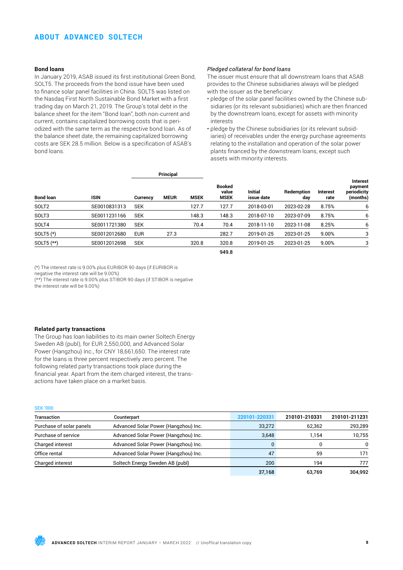### **ABOUT ADVANCED SOLTECH**

### **Bond loans**

In January 2019, ASAB issued its first institutional Green Bond, SOLT5. The proceeds from the bond issue have been used to finance solar panel facilities in China. SOLT5 was listed on the Nasdaq First North Sustainable Bond Market with a first trading day on March 21, 2019. The Group's total debt in the balance sheet for the item "Bond loan", both non-current and current, contains capitalized borrowing costs that is periodized with the same term as the respective bond loan. As of the balance sheet date, the remaining capitalized borrowing costs are SEK 28.5 million. Below is a specification of ASAB's bond loans.

### *Pledged collateral for bond loans*

The issuer must ensure that all downstream loans that ASAB provides to the Chinese subsidiaries always will be pledged with the issuer as the beneficiary:

- pledge of the solar panel facilities owned by the Chinese subsidiaries (or its relevant subsidiaries) which are then financed by the downstream loans, except for assets with minority interests
- pledge by the Chinese subsidiaries (or its relevant subsidiaries) of receivables under the energy purchase agreements relating to the installation and operation of the solar power plants financed by the downstream loans, except such assets with minority interests.

|                   |              | Principal  |             |             |                                       |                              |                   |                  |                                                       |
|-------------------|--------------|------------|-------------|-------------|---------------------------------------|------------------------------|-------------------|------------------|-------------------------------------------------------|
| <b>Bond loan</b>  | <b>ISIN</b>  | Currency   | <b>MEUR</b> | <b>MSEK</b> | <b>Booked</b><br>value<br><b>MSEK</b> | <b>Initial</b><br>issue date | Redemption<br>day | Interest<br>rate | <b>Interest</b><br>payment<br>periodicity<br>(months) |
| SOLT <sub>2</sub> | SE0010831313 | <b>SEK</b> |             | 127.7       | 127.7                                 | 2018-03-01                   | 2023-02-28        | 8.75%            | 6                                                     |
| SOLT3             | SE0011231166 | <b>SEK</b> |             | 148.3       | 148.3                                 | 2018-07-10                   | 2023-07-09        | 8.75%            | 6                                                     |
| SOLT4             | SE0011721380 | <b>SEK</b> |             | 70.4        | 70.4                                  | 2018-11-10                   | 2023-11-08        | 8.25%            | 6                                                     |
| SOLT5 $(*)$       | SE0012012680 | <b>EUR</b> | 27.3        |             | 282.7                                 | 2019-01-25                   | 2023-01-25        | 9.00%            | 3                                                     |
| SOLT5 (**)        | SE0012012698 | <b>SEK</b> |             | 320.8       | 320.8                                 | 2019-01-25                   | 2023-01-25        | 9.00%            | 3                                                     |
|                   |              |            |             |             | 949.8                                 |                              |                   |                  |                                                       |

(\*) The interest rate is 9.00% plus EURIBOR 90 days (if EURIBOR is

negative the interest rate will be 9.00%)

(\*\*) The interest rate is 9.00% plus STIBOR 90 days (if STIBOR is negative the interest rate will be 9.00%)

#### **Related party transactions**

The Group has loan liabilities to its main owner Soltech Energy Sweden AB (publ), for EUR 2,550,000, and Advanced Solar Power (Hangzhou) Inc., for CNY 18,661,650. The interest rate for the loans is three percent respectively zero percent. The following related party transactions took place during the financial year. Apart from the item charged interest, the transactions have taken place on a market basis.

#### SEK '000

| Transaction              | Counterpart                          | 220101-220331 | 210101-210331 | 210101-211231 |
|--------------------------|--------------------------------------|---------------|---------------|---------------|
| Purchase of solar panels | Advanced Solar Power (Hangzhou) Inc. | 33,272        | 62,362        | 293,289       |
| Purchase of service      | Advanced Solar Power (Hangzhou) Inc. | 3.648         | 1.154         | 10,755        |
| Charged interest         | Advanced Solar Power (Hangzhou) Inc. |               | 0             | $\mathbf{0}$  |
| Office rental            | Advanced Solar Power (Hangzhou) Inc. | 47            | 59            | 171           |
| Charged interest         | Soltech Energy Sweden AB (publ)      | 200           | 194           | 777           |
|                          |                                      | 37,168        | 63.769        | 304.992       |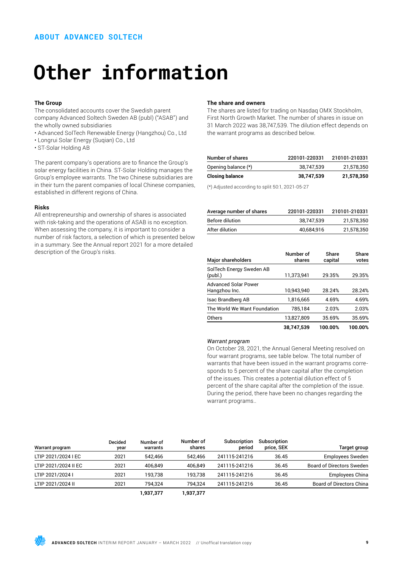### **Other information**

### **The Group**

The consolidated accounts cover the Swedish parent company Advanced Soltech Sweden AB (publ) ("ASAB") and the wholly owned subsidiaries

- Advanced SolTech Renewable Energy (Hangzhou) Co., Ltd
- Longrui Solar Energy (Suqian) Co., Ltd
- ST-Solar Holding AB

The parent company's operations are to finance the Group's solar energy facilities in China. ST-Solar Holding manages the Group's employee warrants. The two Chinese subsidiaries are in their turn the parent companies of local Chinese companies, established in different regions of China.

### **Risks**

All entrepreneurship and ownership of shares is associated with risk-taking and the operations of ASAB is no exception. When assessing the company, it is important to consider a number of risk factors, a selection of which is presented below in a summary. See the Annual report 2021 for a more detailed description of the Group's risks.

### **The share and owners**

The shares are listed for trading on Nasdaq OMX Stockholm, First North Growth Market. The number of shares in issue on 31 March 2022 was 38,747,539. The dilution effect depends on the warrant programs as described below.

| Number of shares       | 220101-220331 | 210101-210331 |
|------------------------|---------------|---------------|
| Opening balance (*)    | 38,747,539    | 21,578,350    |
| <b>Closing balance</b> | 38.747.539    | 21.578.350    |
|                        | .             |               |

(\*) Adjusted according to split 50:1, 2021-05-27

| Average number of shares | 220101-220331 | 210101-210331 |
|--------------------------|---------------|---------------|
| Before dilution          | 38.747.539    | 21.578.350    |
| After dilution           | 40.684.916    | 21,578,350    |

| <b>Major shareholders</b>                    | Number of<br>shares | Share<br>capital | Share<br>votes |
|----------------------------------------------|---------------------|------------------|----------------|
| SolTech Energy Sweden AB<br>(publ.)          | 11,373,941          | 29.35%           | 29.35%         |
| <b>Advanced Solar Power</b><br>Hangzhou Inc. | 10,943,940          | 28.24%           | 28.24%         |
| Isac Brandberg AB                            | 1,816,665           | 4.69%            | 4.69%          |
| The World We Want Foundation                 | 785,184             | 2.03%            | 2.03%          |
| Others                                       | 13.827.809          | 35.69%           | 35.69%         |
|                                              | 38.747.539          | 100.00%          | 100.00%        |

### *Warrant program*

On October 28, 2021, the Annual General Meeting resolved on four warrant programs, see table below. The total number of warrants that have been issued in the warrant programs corresponds to 5 percent of the share capital after the completion of the issues. This creates a potential dilution effect of 5 percent of the share capital after the completion of the issue. During the period, there have been no changes regarding the warrant programs..

| Warrant program      | <b>Decided</b><br>year | Number of<br>warrants | Number of<br>shares | Subscription<br>period | Subscription<br>price, SEK | Target group                     |
|----------------------|------------------------|-----------------------|---------------------|------------------------|----------------------------|----------------------------------|
| LTIP 2021/2024 I EC  | 2021                   | 542.466               | 542.466             | 241115-241216          | 36.45                      | <b>Employees Sweden</b>          |
| LTIP 2021/2024 II EC | 2021                   | 406.849               | 406.849             | 241115-241216          | 36.45                      | <b>Board of Directors Sweden</b> |
| LTIP 2021/2024 I     | 2021                   | 193.738               | 193.738             | 241115-241216          | 36.45                      | Employees China                  |
| LTIP 2021/2024 II    | 2021                   | 794.324               | 794.324             | 241115-241216          | 36.45                      | <b>Board of Directors China</b>  |
|                      |                        | 1,937,377             | 1,937,377           |                        |                            |                                  |

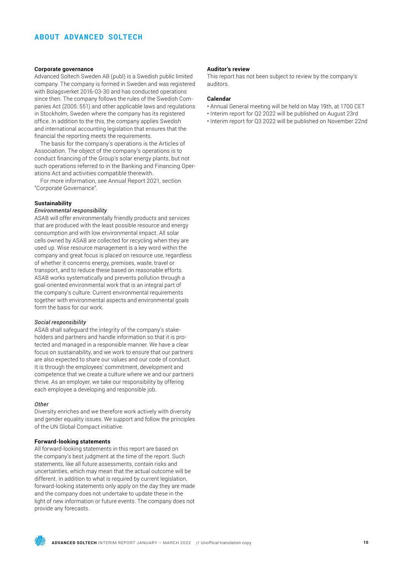### **Corporate governance**

Advanced Soltech Sweden AB (publ) is a Swedish public limited company. The company is formed in Sweden and was registered with Bolagsverket 2016-03-30 and has conducted operations since then. The company follows the rules of the Swedish Companies Act (2005: 551) and other applicable laws and regulations in Stockholm, Sweden where the company has its registered office. In addition to the this, the company applies Swedish and international accounting legislation that ensures that the financial the reporting meets the requirements.

The basis for the company's operations is the Articles of Association. The object of the company's operations is to conduct financing of the Group's solar energy plants, but not such operations referred to in the Banking and Financing Operations Act and activities compatible therewith.

For more information, see Annual Report 2021, section "Corporate Governance".

### **Sustainability**

### *Environmental responsibility*

ASAB will offer environmentally friendly products and services that are produced with the least possible resource and energy consumption and with low environmental impact. All solar cells owned by ASAB are collected for recycling when they are used up. Wise resource management is a key word within the company and great focus is placed on resource use, regardless of whether it concerns energy, premises, waste, travel or transport, and to reduce these based on reasonable efforts. ASAB works systematically and prevents pollution through a goal-oriented environmental work that is an integral part of the company's culture. Current environmental requirements together with environmental aspects and environmental goals form the basis for our work.

### *Social responsibility*

ASAB shall safeguard the integrity of the company's stakeholders and partners and handle information so that it is protected and managed in a responsible manner. We have a clear focus on sustainability, and we work to ensure that our partners are also expected to share our values and our code of conduct. It is through the employees' commitment, development and competence that we create a culture where we and our partners thrive. As an employer, we take our responsibility by offering each employee a developing and responsible job.

### *Other*

Diversity enriches and we therefore work actively with diversity and gender equality issues. We support and follow the principles of the UN Global Compact initiative.

### **Forward-looking statements**

All forward-looking statements in this report are based on the company's best judgment at the time of the report. Such statements, like all future assessments, contain risks and uncertainties, which may mean that the actual outcome will be different. In addition to what is required by current legislation. forward-looking statements only apply on the day they are made and the company does not undertake to update these in the light of new information or future events. The company does not provide any forecasts.

### **Auditor's review**

This report has not been subject to review by the company's auditors.

#### **Calendar**

- Annual General meeting will be held on May 19th, at 1700 CET
- Interim report for Q2 2022 will be published on August 23rd
- Interim report for Q3 2022 will be published on November 22nd

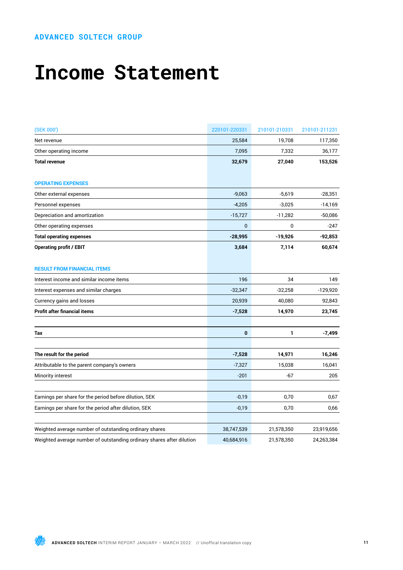### **Income Statement**

| (SEK 000')                                                            | 220101-220331 | 210101-210331 | 210101-211231 |
|-----------------------------------------------------------------------|---------------|---------------|---------------|
| Net revenue                                                           | 25,584        | 19,708        | 117,350       |
| Other operating income                                                | 7,095         | 7,332         | 36,177        |
| <b>Total revenue</b>                                                  | 32,679        | 27,040        | 153,526       |
| <b>OPERATING EXPENSES</b>                                             |               |               |               |
| Other external expenses                                               | $-9,063$      | $-5,619$      | $-28,351$     |
| Personnel expenses                                                    | $-4,205$      | $-3,025$      | $-14,169$     |
| Depreciation and amortization                                         | $-15,727$     | $-11,282$     | $-50,086$     |
| Other operating expenses                                              | $\mathbf 0$   | 0             | $-247$        |
| <b>Total operating expenses</b>                                       | $-28,995$     | $-19,926$     | $-92,853$     |
| <b>Operating profit / EBIT</b>                                        | 3,684         | 7,114         | 60,674        |
| <b>RESULT FROM FINANCIAL ITEMS</b>                                    |               |               |               |
| Interest income and similar income items                              | 196           | 34            | 149           |
| Interest expenses and similar charges                                 | $-32,347$     | $-32,258$     | $-129,920$    |
| Currency gains and losses                                             | 20,939        | 40,080        | 92,843        |
| <b>Profit after financial items</b>                                   | $-7,528$      | 14,970        | 23,745        |
| Tax                                                                   | $\bf{0}$      | 1             | $-7,499$      |
| The result for the period                                             | $-7,528$      | 14,971        | 16,246        |
| Attributable to the parent company's owners                           | $-7,327$      | 15,038        | 16,041        |
| Minority interest                                                     | $-201$        | $-67$         | 205           |
| Earnings per share for the period before dilution, SEK                | $-0,19$       | 0,70          | 0,67          |
| Earnings per share for the period after dilution, SEK                 | $-0,19$       | 0,70          | 0,66          |
|                                                                       |               |               |               |
| Weighted average number of outstanding ordinary shares                | 38,747,539    | 21,578,350    | 23,919,656    |
| Weighted average number of outstanding ordinary shares after dilution | 40,684,916    | 21,578,350    | 24,263,384    |

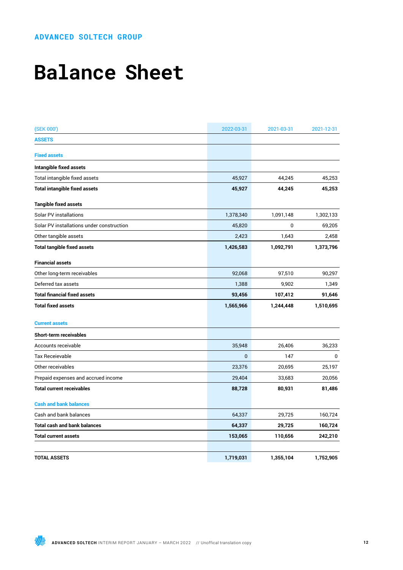## **Balance Sheet**

| (SEK 000')                                | 2022-03-31     | 2021-03-31 | 2021-12-31 |
|-------------------------------------------|----------------|------------|------------|
| <b>ASSETS</b>                             |                |            |            |
| <b>Fixed assets</b>                       |                |            |            |
| Intangible fixed assets                   |                |            |            |
| Total intangible fixed assets             | 45,927         | 44,245     | 45,253     |
| <b>Total intangible fixed assets</b>      | 45,927         | 44,245     | 45,253     |
| <b>Tangible fixed assets</b>              |                |            |            |
| Solar PV installations                    | 1,378,340      | 1,091,148  | 1,302,133  |
| Solar PV installations under construction | 45,820         | 0          | 69,205     |
| Other tangible assets                     | 2,423          | 1,643      | 2,458      |
| <b>Total tangible fixed assets</b>        | 1,426,583      | 1,092,791  | 1,373,796  |
| <b>Financial assets</b>                   |                |            |            |
| Other long-term receivables               | 92,068         | 97,510     | 90,297     |
| Deferred tax assets                       | 1,388          | 9,902      | 1,349      |
| <b>Total financial fixed assets</b>       | 93,456         | 107,412    | 91,646     |
| <b>Total fixed assets</b>                 | 1,565,966      | 1,244,448  | 1,510,695  |
| <b>Current assets</b>                     |                |            |            |
| Short-term receivables                    |                |            |            |
| Accounts receivable                       | 35,948         | 26,406     | 36,233     |
| Tax Receievable                           | $\overline{0}$ | 147        | 0          |
| Other receivables                         | 23,376         | 20,695     | 25,197     |
| Prepaid expenses and accrued income       | 29,404         | 33,683     | 20,056     |
| <b>Total current receivables</b>          | 88,728         | 80,931     | 81,486     |
| <b>Cash and bank balances</b>             |                |            |            |
| Cash and bank balances                    | 64,337         | 29,725     | 160,724    |
| Total cash and bank balances              | 64,337         | 29,725     | 160,724    |
| Total current assets                      | 153,065        | 110,656    | 242,210    |
| <b>TOTAL ASSETS</b>                       | 1,719,031      | 1,355,104  | 1,752,905  |

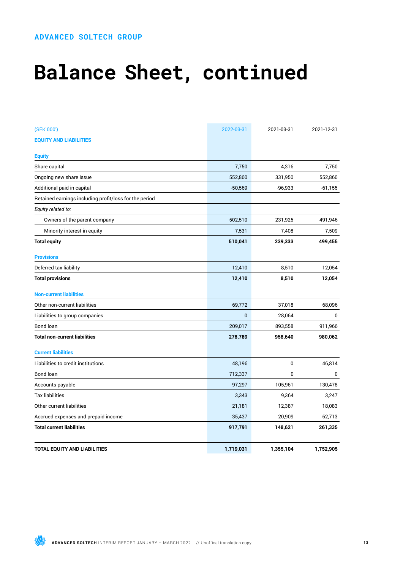# **Balance Sheet, continued**

| (SEK 000')                                             | 2022-03-31   | 2021-03-31 | 2021-12-31  |
|--------------------------------------------------------|--------------|------------|-------------|
| <b>EQUITY AND LIABILITIES</b>                          |              |            |             |
| <b>Equity</b>                                          |              |            |             |
| Share capital                                          | 7,750        | 4,316      | 7,750       |
| Ongoing new share issue                                | 552,860      | 331,950    | 552,860     |
| Additional paid in capital                             | $-50,569$    | $-96,933$  | -61,155     |
| Retained earnings including profit/loss for the period |              |            |             |
| Equity related to:                                     |              |            |             |
| Owners of the parent company                           | 502,510      | 231,925    | 491,946     |
| Minority interest in equity                            | 7,531        | 7,408      | 7,509       |
| <b>Total equity</b>                                    | 510,041      | 239,333    | 499,455     |
| <b>Provisions</b>                                      |              |            |             |
| Deferred tax liability                                 | 12,410       | 8,510      | 12,054      |
| <b>Total provisions</b>                                | 12,410       | 8,510      | 12,054      |
| <b>Non-current liabilities</b>                         |              |            |             |
| Other non-current liabilities                          | 69,772       | 37,018     | 68,096      |
| Liabilities to group companies                         | $\mathbf{0}$ | 28,064     | $\mathbf 0$ |
| Bond loan                                              | 209,017      | 893,558    | 911,966     |
| <b>Total non-current liabilities</b>                   | 278,789      | 958,640    | 980,062     |
| <b>Current liabilities</b>                             |              |            |             |
| Liabilities to credit institutions                     | 48,196       | 0          | 46,814      |
| Bond loan                                              | 712,337      | 0          | 0           |
| Accounts payable                                       | 97,297       | 105,961    | 130,478     |
| <b>Tax liabilities</b>                                 | 3,343        | 9,364      | 3,247       |
| Other current liabilities                              | 21,181       | 12,387     | 18,083      |
| Accrued expenses and prepaid income                    | 35,437       | 20,909     | 62,713      |
| <b>Total current liabilities</b>                       | 917,791      | 148,621    | 261,335     |
| <b>TOTAL EQUITY AND LIABILITIES</b>                    | 1,719,031    | 1,355,104  | 1,752,905   |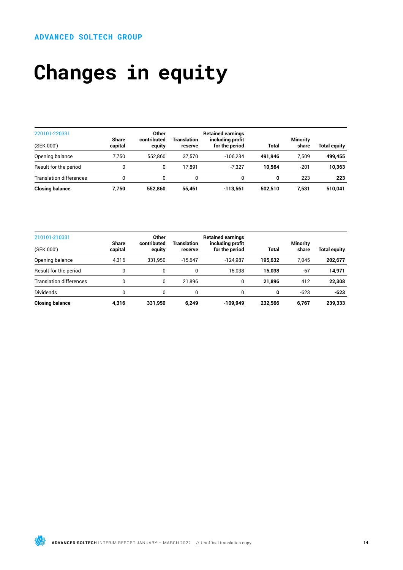# **Changes in equity**

| 220101-220331                  | <b>Share</b> | Other<br>contributed | Translation | <b>Retained earnings</b><br>including profit |              | <b>Minority</b> |                     |
|--------------------------------|--------------|----------------------|-------------|----------------------------------------------|--------------|-----------------|---------------------|
| (SEK 000')                     | capital      | equity               | reserve     | for the period                               | <b>Total</b> | share           | <b>Total equity</b> |
| Opening balance                | 7.750        | 552.860              | 37.570      | $-106.234$                                   | 491.946      | 7.509           | 499,455             |
| Result for the period          |              | 0                    | 17.891      | $-7.327$                                     | 10.564       | $-201$          | 10,363              |
| <b>Translation differences</b> |              |                      | 0           | 0                                            | 0            | 223             | 223                 |
| <b>Closing balance</b>         | 7.750        | 552.860              | 55.461      | $-113.561$                                   | 502.510      | 7.531           | 510,041             |

| 210101-210331                  |                         | Other                 |                        | <b>Retained earnings</b>           |              |                          |                     |
|--------------------------------|-------------------------|-----------------------|------------------------|------------------------------------|--------------|--------------------------|---------------------|
| (SEK 000')                     | <b>Share</b><br>capital | contributed<br>equity | Translation<br>reserve | including profit<br>for the period | <b>Total</b> | <b>Minority</b><br>share | <b>Total equity</b> |
| Opening balance                | 4.316                   | 331.950               | $-15.647$              | $-124.987$                         | 195.632      | 7.045                    | 202,677             |
| Result for the period          |                         | 0                     | 0                      | 15.038                             | 15.038       | $-67$                    | 14,971              |
| <b>Translation differences</b> |                         | 0                     | 21.896                 | 0                                  | 21.896       | 412                      | 22,308              |
| <b>Dividends</b>               | 0                       | 0                     | 0                      | $\Omega$                           | 0            | $-623$                   | $-623$              |
| <b>Closing balance</b>         | 4.316                   | 331.950               | 6,249                  | $-109.949$                         | 232.566      | 6.767                    | 239,333             |

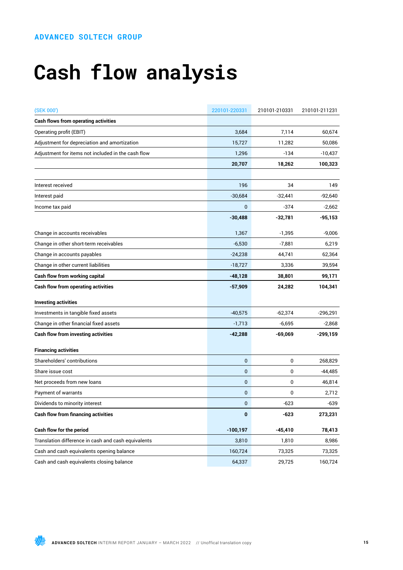# **Cash flow analysis**

| (SEK 000')                                          | 220101-220331 | 210101-210331 | 210101-211231 |
|-----------------------------------------------------|---------------|---------------|---------------|
| <b>Cash flows from operating activities</b>         |               |               |               |
| Operating profit (EBIT)                             | 3,684         | 7,114         | 60,674        |
| Adjustment for depreciation and amortization        | 15,727        | 11,282        | 50,086        |
| Adjustment for items not included in the cash flow  | 1,296         | $-134$        | $-10,437$     |
|                                                     | 20,707        | 18,262        | 100,323       |
|                                                     |               |               |               |
| Interest received                                   | 196           | 34            | 149           |
| Interest paid                                       | $-30,684$     | $-32,441$     | $-92,640$     |
| Income tax paid                                     | $\mathbf{0}$  | $-374$        | $-2,662$      |
|                                                     | $-30,488$     | $-32,781$     | $-95,153$     |
| Change in accounts receivables                      | 1,367         | $-1,395$      | $-9,006$      |
| Change in other short-term receivables              | $-6,530$      | $-7,881$      | 6,219         |
| Change in accounts payables                         | $-24,238$     | 44,741        | 62,364        |
| Change in other current liabilities                 | $-18,727$     | 3,336         | 39,594        |
| Cash flow from working capital                      | $-48,128$     | 38,801        | 99,171        |
| <b>Cash flow from operating activities</b>          | $-57,909$     | 24,282        | 104,341       |
| <b>Investing activities</b>                         |               |               |               |
| Investments in tangible fixed assets                | $-40,575$     | $-62,374$     | $-296,291$    |
| Change in other financial fixed assets              | $-1,713$      | $-6,695$      | $-2,868$      |
| <b>Cash flow from investing activities</b>          | $-42,288$     | -69,069       | $-299,159$    |
| <b>Financing activities</b>                         |               |               |               |
| Shareholders' contributions                         | $\bf{0}$      | 0             | 268,829       |
| Share issue cost                                    | $\mathbf 0$   | 0             | $-44,485$     |
| Net proceeds from new loans                         | $\bf{0}$      | 0             | 46,814        |
| Payment of warrants                                 | $\mathbf 0$   | 0             | 2,712         |
| Dividends to minority interest                      | $\bf{0}$      | $-623$        | $-639$        |
| <b>Cash flow from financing activities</b>          | $\bf{0}$      | $-623$        | 273,231       |
| Cash flow for the period                            | $-100, 197$   | $-45,410$     | 78,413        |
| Translation difference in cash and cash equivalents | 3,810         | 1,810         | 8,986         |
| Cash and cash equivalents opening balance           | 160,724       | 73,325        | 73,325        |
| Cash and cash equivalents closing balance           | 64,337        | 29,725        | 160,724       |

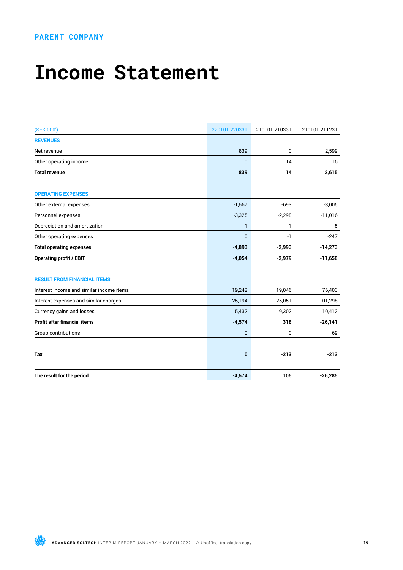### **PARENT COMPANY**

### **Income Statement**

| (SEK 000')                               | 220101-220331  | 210101-210331 | 210101-211231 |
|------------------------------------------|----------------|---------------|---------------|
| <b>REVENUES</b>                          |                |               |               |
| Net revenue                              | 839            | 0             | 2,599         |
| Other operating income                   | $\overline{0}$ | 14            | 16            |
| <b>Total revenue</b>                     | 839            | 14            | 2,615         |
| <b>OPERATING EXPENSES</b>                |                |               |               |
| Other external expenses                  | $-1,567$       | $-693$        | $-3,005$      |
| Personnel expenses                       | $-3,325$       | $-2,298$      | $-11,016$     |
| Depreciation and amortization            | $-1$           | -1            | -5            |
| Other operating expenses                 | $\overline{0}$ | $-1$          | $-247$        |
| <b>Total operating expenses</b>          | $-4,893$       | $-2,993$      | $-14,273$     |
| <b>Operating profit / EBIT</b>           | $-4,054$       | $-2,979$      | $-11,658$     |
| <b>RESULT FROM FINANCIAL ITEMS</b>       |                |               |               |
| Interest income and similar income items | 19,242         | 19,046        | 76,403        |
| Interest expenses and similar charges    | $-25,194$      | $-25,051$     | $-101,298$    |
| Currency gains and losses                | 5,432          | 9,302         | 10,412        |
| <b>Profit after financial items</b>      | $-4,574$       | 318           | $-26,141$     |
| Group contributions                      | 0              | 0             | 69            |
| Tax                                      | $\bf{0}$       | $-213$        | $-213$        |
| The result for the period                | $-4,574$       | 105           | $-26,285$     |

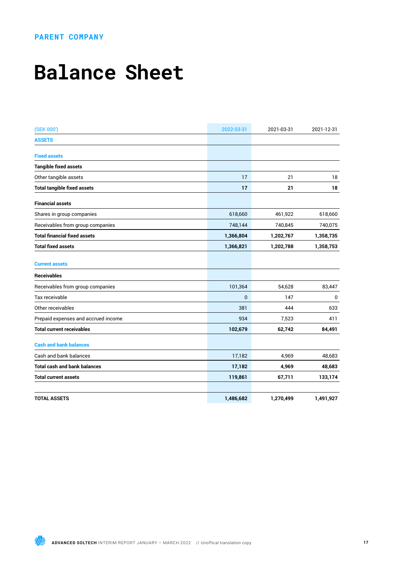### **PARENT COMPANY**

### **Balance Sheet**

| (SEK 000')                          | 2022-03-31   | 2021-03-31 | 2021-12-31 |
|-------------------------------------|--------------|------------|------------|
| <b>ASSETS</b>                       |              |            |            |
| <b>Fixed assets</b>                 |              |            |            |
| <b>Tangible fixed assets</b>        |              |            |            |
| Other tangible assets               | 17           | 21         | 18         |
| <b>Total tangible fixed assets</b>  | 17           | 21         | 18         |
| <b>Financial assets</b>             |              |            |            |
| Shares in group companies           | 618,660      | 461,922    | 618,660    |
| Receivables from group companies    | 748,144      | 740,845    | 740,075    |
| <b>Total financial fixed assets</b> | 1,366,804    | 1,202,767  | 1,358,735  |
| <b>Total fixed assets</b>           | 1,366,821    | 1,202,788  | 1,358,753  |
| <b>Current assets</b>               |              |            |            |
| <b>Receivables</b>                  |              |            |            |
| Receivables from group companies    | 101,364      | 54,628     | 83,447     |
| Tax receivable                      | $\mathbf{0}$ | 147        | 0          |
| Other receivables                   | 381          | 444        | 633        |
| Prepaid expenses and accrued income | 934          | 7,523      | 411        |
| <b>Total current receivables</b>    | 102,679      | 62,742     | 84,491     |
| <b>Cash and bank balances</b>       |              |            |            |
| Cash and bank balances              | 17,182       | 4,969      | 48,683     |
| <b>Total cash and bank balances</b> | 17,182       | 4,969      | 48,683     |
| <b>Total current assets</b>         | 119,861      | 67,711     | 133,174    |
|                                     |              |            |            |
| <b>TOTAL ASSETS</b>                 | 1,486,682    | 1,270,499  | 1,491,927  |

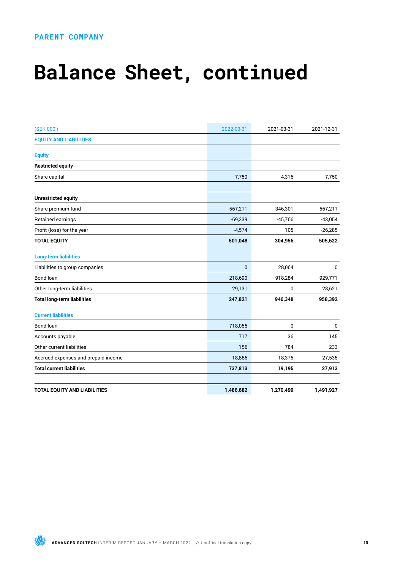### **PARENT COMPANY**

# **Balance Sheet, continued**

| (SEK 000')                          | 2022-03-31   | 2021-03-31 | 2021-12-31   |
|-------------------------------------|--------------|------------|--------------|
| <b>EQUITY AND LIABILITIES</b>       |              |            |              |
| <b>Equity</b>                       |              |            |              |
| <b>Restricted equity</b>            |              |            |              |
| Share capital                       | 7,750        | 4,316      | 7,750        |
| <b>Unrestricted equity</b>          |              |            |              |
| Share premium fund                  | 567,211      | 346,301    | 567,211      |
| Retained earnings                   | $-69,339$    | $-45,766$  | $-43,054$    |
| Profit (loss) for the year          | $-4,574$     | 105        | $-26,285$    |
| <b>TOTAL EQUITY</b>                 | 501,048      | 304,956    | 505,622      |
| <b>Long-term liabilities</b>        |              |            |              |
| Liabilities to group companies      | $\mathbf{0}$ | 28,064     | $\pmb{0}$    |
| Bond loan                           | 218,690      | 918,284    | 929,771      |
| Other long-term liabilities         | 29,131       | 0          | 28,621       |
| <b>Total long-term liabilities</b>  | 247,821      | 946,348    | 958,392      |
| <b>Current liabilities</b>          |              |            |              |
| <b>Bond loan</b>                    | 718,055      | 0          | $\mathbf{0}$ |
| Accounts payable                    | 717          | 36         | 145          |
| Other current liabilities           | 156          | 784        | 233          |
| Accrued expenses and prepaid income | 18,885       | 18,375     | 27,535       |
| <b>Total current liabilities</b>    | 737,813      | 19,195     | 27,913       |
| <b>TOTAL EQUITY AND LIABILITIES</b> | 1,486,682    | 1,270,499  | 1,491,927    |

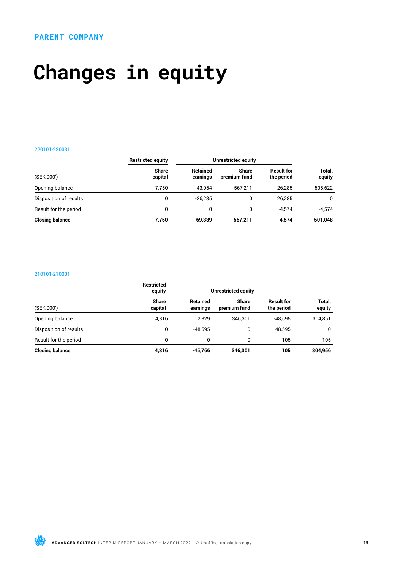## **Changes in equity**

#### 220101-220331

|                        | <b>Restricted equity</b> | Unrestricted equity         |                              |                                 |                  |
|------------------------|--------------------------|-----------------------------|------------------------------|---------------------------------|------------------|
| (SEK,000')             | <b>Share</b><br>capital  | <b>Retained</b><br>earnings | <b>Share</b><br>premium fund | <b>Result for</b><br>the period | Total,<br>equity |
| Opening balance        | 7.750                    | $-43.054$                   | 567.211                      | $-26.285$                       | 505,622          |
| Disposition of results | 0                        | $-26.285$                   | 0                            | 26.285                          | $\mathbf{0}$     |
| Result for the period  | 0                        | 0                           | $\mathbf{0}$                 | $-4.574$                        | $-4.574$         |
| <b>Closing balance</b> | 7.750                    | $-69,339$                   | 567,211                      | $-4,574$                        | 501,048          |

### 210101-210331

|                        | <b>Restricted</b><br>equity |                             | Unrestricted equity          |                                 |                  |
|------------------------|-----------------------------|-----------------------------|------------------------------|---------------------------------|------------------|
| (SEK,000')             | <b>Share</b><br>capital     | <b>Retained</b><br>earnings | <b>Share</b><br>premium fund | <b>Result for</b><br>the period | Total,<br>equity |
| Opening balance        | 4.316                       | 2.829                       | 346.301                      | $-48.595$                       | 304,851          |
| Disposition of results | 0                           | -48.595                     | 0                            | 48.595                          | $\Omega$         |
| Result for the period  | 0                           | 0                           | 0                            | 105                             | 105              |
| <b>Closing balance</b> | 4,316                       | -45,766                     | 346,301                      | 105                             | 304,956          |

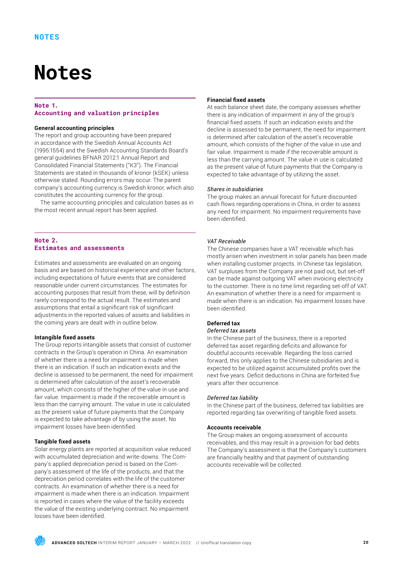### **Notes**

### **Note 1. Accounting and valuation principles**

### **General accounting principles**

The report and group accounting have been prepared in accordance with the Swedish Annual Accounts Act (1995:1554) and the Swedish Accounting Standards Board's general guidelines BFNAR 2012:1 Annual Report and Consolidated Financial Statements ("K3"). The Financial Statements are stated in thousands of kronor (kSEK) unless otherwise stated. Rounding errors may occur. The parent company's accounting currency is Swedish kronor, which also constitutes the accounting currency for the group.

The same accounting principles and calculation bases as in the most recent annual report has been applied.

### **Note 2. Estimates and assessments**

Estimates and assessments are evaluated on an ongoing basis and are based on historical experience and other factors, including expectations of future events that are considered reasonable under current circumstances. The estimates for accounting purposes that result from these, will by definition rarely correspond to the actual result. The estimates and assumptions that entail a significant risk of significant adjustments in the reported values of assets and liabilities in the coming years are dealt with in outline below.

### **Intangible fixed assets**

The Group reports intangible assets that consist of customer contracts in the Group's operation in China. An examination of whether there is a need for impairment is made when there is an indication. If such an indication exists and the decline is assessed to be permanent, the need for impairment is determined after calculation of the asset's recoverable amount, which consists of the higher of the value in use and fair value. Impairment is made if the recoverable amount is less than the carrying amount. The value in use is calculated as the present value of future payments that the Company is expected to take advantage of by using the asset. No impairment losses have been identified.

### **Tangible fixed assets**

Solar energy plants are reported at acquisition value reduced with accumulated depreciation and write-downs. The Company's applied depreciation period is based on the Company's assessment of the life of the products, and that the depreciation period correlates with the life of the customer contracts. An examination of whether there is a need for impairment is made when there is an indication. Impairment is reported in cases where the value of the facility exceeds the value of the existing underlying contract. No impairment losses have been identified.

### **Financial fixed assets**

At each balance sheet date, the company assesses whether there is any indication of impairment in any of the group's financial fixed assets. If such an indication exists and the decline is assessed to be permanent, the need for impairment is determined after calculation of the asset's recoverable amount, which consists of the higher of the value in use and fair value. Impairment is made if the recoverable amount is less than the carrying amount. The value in use is calculated as the present value of future payments that the Company is expected to take advantage of by utilizing the asset.

### *Shares in subsidiaries*

The group makes an annual forecast for future discounted cash flows regarding operations in China, in order to assess any need for impairment. No impairment requirements have been identified.

### *VAT Receivable*

The Chinese companies have a VAT receivable which has mostly arisen when investment in solar panels has been made when installing customer projects. In Chinese tax legislation, VAT surpluses from the Company are not paid out, but set-off can be made against outgoing VAT when invoicing electricity to the customer. There is no time limit regarding set-off of VAT. An examination of whether there is a need for impairment is made when there is an indication. No impairment losses have been identified.

### **Deferred tax**

### *Deferred tax assets*

In the Chinese part of the business, there is a reported deferred tax asset regarding deficits and allowance for doubtful accounts receivable. Regarding the loss carried forward, this only applies to the Chinese subsidiaries and is expected to be utilized against accumulated profits over the next five years. Deficit deductions in China are forfeited five years after their occurrence.

### *Deferred tax liability*

In the Chinese part of the business, deferred tax liabilities are reported regarding tax overwriting of tangible fixed assets.

### **Accounts receivable**

The Group makes an ongoing assessment of accounts receivables, and this may result in a provision for bad debts. The Company's assessment is that the Company's customers are financially healthy and that payment of outstanding accounts receivable will be collected.

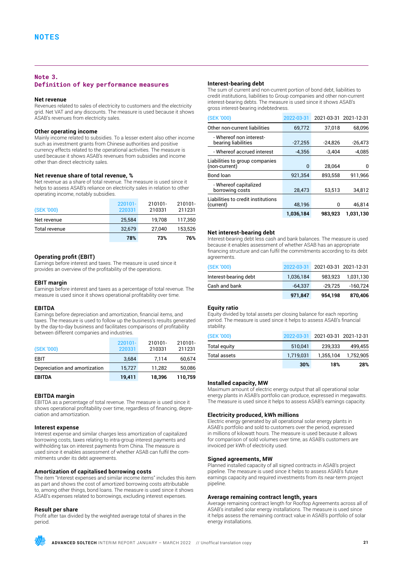### **Note 3. Definition of key performance measures**

### **Net revenue**

Revenues related to sales of electricity to customers and the electricity grid. Net VAT and any discounts. The measure is used because it shows ASAB's revenues from electricity sales.

### **Other operating income**

Mainly income related to subsidies. To a lesser extent also other income such as investment grants from Chinese authorities and positive currency effects related to the operational activities. The measure is used because it shows ASAB's revenues from subsidies and income other than direct electricity sales.

### **Net revenue share of total revenue, %**

Net revenue as a share of total revenue. The measure is used since it helps to assess ASAB's reliance on electricity sales in relation to other operating income, notably subsidies.

| (SEK '000)    | 220101-<br>220331 | 210101-<br>210331 | 210101-<br>211231 |
|---------------|-------------------|-------------------|-------------------|
| Net revenue   | 25.584            | 19.708            | 117.350           |
| Total revenue | 32.679            | 27.040            | 153.526           |
|               | 78%               | 73%               | 76%               |

### **Operating profit (EBIT)**

Earnings before interest and taxes. The measure is used since it provides an overview of the profitability of the operations.

### **EBIT margin**

Earnings before interest and taxes as a percentage of total revenue. The measure is used since it shows operational profitability over time.

### **EBITDA**

Earnings before depreciation and amortization, financial items, and taxes. The measure is used to follow up the business's results generated by the day-to-day business and facilitates comparisons of profitability between different companies and industries.

| (SEK '000)                    | 220101-<br>220331 | 210101-<br>210331 | 210101-<br>211231 |
|-------------------------------|-------------------|-------------------|-------------------|
| <b>EBIT</b>                   | 3,684             | 7.114             | 60,674            |
| Depreciation and amortization | 15.727            | 11.282            | 50,086            |
| <b>EBITDA</b>                 | 19,411            | 18.396            | 110.759           |

### **EBITDA margin**

EBITDA as a percentage of total revenue. The measure is used since it shows operational profitability over time, regardless of financing, depreciation and amortization.

### **Interest expense**

Interest expense and similar charges less amortization of capitalized borrowing costs, taxes relating to intra-group interest payments and withholding tax on interest payments from China. The measure is used since it enables assessment of whether ASAB can fulfil the commitments under its debt agreements.

### **Amortization of capitalised borrowing costs**

The item "Interest expenses and similar income items" includes this item as part and shows the cost of amortized borrowing costs attributable to, among other things, bond loans. The measure is used since it shows ASAB's expenses related to borrowings, excluding interest expenses.

### **Result per share**

Profit after tax divided by the weighted average total of shares in the period.

### **Interest-bearing debt**

The sum of current and non-current portion of bond debt, liabilities to credit institutions, liabilities to Group companies and other non-current interest-bearing debts. The measure is used since it shows ASAB's gross interest-bearing indebtedness.

| (SEK '000)                                      | 2022-03-31 | 2021-03-31 2021-12-31 |           |
|-------------------------------------------------|------------|-----------------------|-----------|
| Other non-current liabilities                   | 69,772     | 37,018                | 68,096    |
| - Whereof non interest-<br>bearing liabilities  | $-27,255$  | $-24,826$             | $-26,473$ |
| - Whereof accrued interest                      | $-4.356$   | $-3.404$              | $-4.085$  |
| Liabilities to group companies<br>(non-current) | 0          | 28,064                | 0         |
| Bond loan                                       | 921,354    | 893,558               | 911,966   |
| - Whereof capitalized<br>borrowing costs        | 28.473     | 53,513                | 34,812    |
| Liabilities to credit institutions<br>(current) | 48,196     | 0                     | 46,814    |
|                                                 | 1,036,184  | 983.923               | 1.031,130 |

### **Net interest-bearing debt**

Interest-bearing debt less cash and bank balances. The measure is used because it enables assessment of whether ASAB has an appropriate financing structure and can fulfil the commitments according to its debt agreements.

| (SEK '000)            |           | 2022-03-31 2021-03-31 2021-12-31 |           |
|-----------------------|-----------|----------------------------------|-----------|
| Interest-bearing debt | 1,036,184 | 983.923                          | 1.031.130 |
| Cash and bank         | $-64.337$ | -29.725                          | -160.724  |
|                       | 971,847   | 954,198                          | 870,406   |

### **Equity ratio**

Equity divided by total assets per closing balance for each reporting period. The measure is used since it helps to assess ASAB's financial stability

| 1,752,905                        |
|----------------------------------|
| 499.455                          |
| 2022-03-31 2021-03-31 2021-12-31 |
|                                  |

### **Installed capacity, MW**

Maximum amount of electric energy output that all operational solar energy plants in ASAB's portfolio can produce, expressed in megawatts. The measure is used since it helps to assess ASAB's earnings capacity.

### **Electricity produced, kWh millions**

Electric energy generated by all operational solar energy plants in ASAB's portfolio and sold to customers over the period, expressed in millions of kilowatt hours. The measure is used because it allows for comparison of sold volumes over time, as ASAB's customers are invoiced per kWh of electricity used.

#### **Signed agreements, MW**

Planned installed capacity of all signed contracts in ASAB's project pipeline. The measure is used since it helps to assess ASAB's future earnings capacity and required investments from its near-term project pipeline.

### **Average remaining contract length, years**

Average remaining contract length for Rooftop Agreements across all of ASAB's installed solar energy installations. The measure is used since it helps assess the remaining contract value in ASAB's portfolio of solar energy installations.